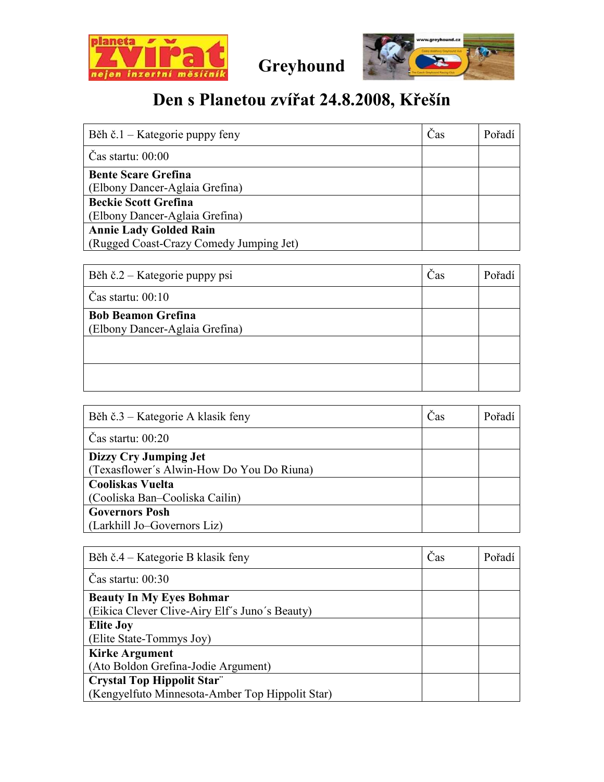

Greyhound



## Den s Planetou zvířat 24.8.2008, Křešín

| Běh č.1 – Kategorie puppy feny          | Čas | Pořadí |
|-----------------------------------------|-----|--------|
| $\text{Cas}$ startu: $00:00$            |     |        |
| <b>Bente Scare Grefina</b>              |     |        |
| (Elbony Dancer-Aglaia Grefina)          |     |        |
| <b>Beckie Scott Grefina</b>             |     |        |
| (Elbony Dancer-Aglaia Grefina)          |     |        |
| <b>Annie Lady Golded Rain</b>           |     |        |
| (Rugged Coast-Crazy Comedy Jumping Jet) |     |        |

| Běh č.2 – Kategorie puppy psi                               | Cas | Pořadí |
|-------------------------------------------------------------|-----|--------|
| Čas startu: $00:10$                                         |     |        |
| <b>Bob Beamon Grefina</b><br>(Elbony Dancer-Aglaia Grefina) |     |        |
|                                                             |     |        |
|                                                             |     |        |

| Běh č.3 – Kategorie A klasik feny         | Čas | Pořadí |
|-------------------------------------------|-----|--------|
| $\text{Cas}$ startu: 00:20                |     |        |
| Dizzy Cry Jumping Jet                     |     |        |
| (Texasflower's Alwin-How Do You Do Riuna) |     |        |
| <b>Cooliskas Vuelta</b>                   |     |        |
| (Cooliska Ban-Cooliska Cailin)            |     |        |
| <b>Governors Posh</b>                     |     |        |
| (Larkhill Jo-Governors Liz)               |     |        |

| Běh č.4 – Kategorie B klasik feny               | Čas | Pořadí |
|-------------------------------------------------|-----|--------|
| Cas startu: $00:30$                             |     |        |
| <b>Beauty In My Eyes Bohmar</b>                 |     |        |
| (Eikica Clever Clive-Airy Elf's Juno's Beauty)  |     |        |
| <b>Elite Joy</b>                                |     |        |
| (Elite State-Tommys Joy)                        |     |        |
| <b>Kirke Argument</b>                           |     |        |
| (Ato Boldon Grefina-Jodie Argument)             |     |        |
| <b>Crystal Top Hippolit Star"</b>               |     |        |
| (Kengyelfuto Minnesota-Amber Top Hippolit Star) |     |        |